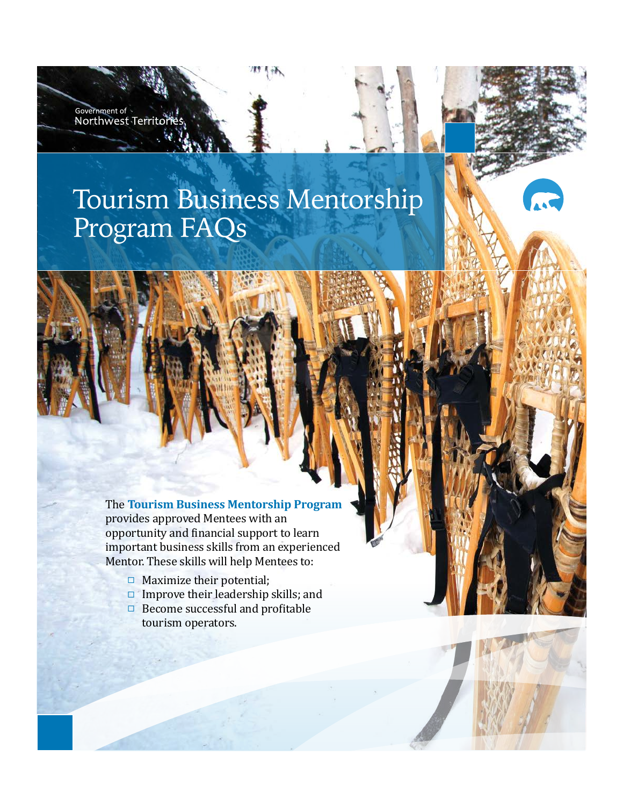# Tourism Business Mentorship Program FAQs

Government of<br>Northwest Territc

189 1 97

The **Tourism Business Mentorship Program** provides approved Mentees with an opportunity and financial support to learn important business skills from an experienced Mentor. These skills will help Mentees to:

- $\Box$  Maximize their potential;
- Improve their leadership skills; and
- $\Box$  Become successful and profitable tourism operators.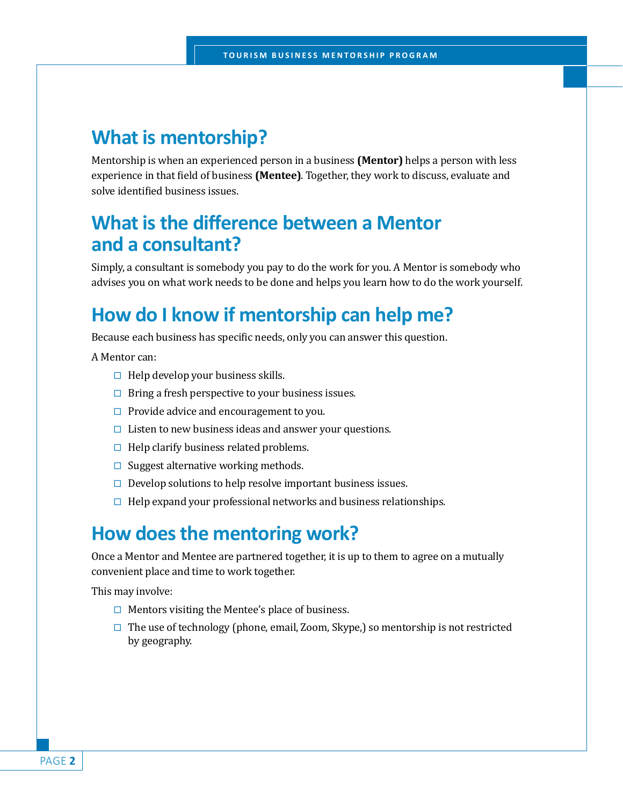#### **What is mentorship?**

Mentorship is when an experienced person in a business **(Mentor)** helps a person with less experience in that field of business **(Mentee)**. Together, they work to discuss, evaluate and solve identified business issues.

### **What is the difference between a Mentor and a consultant?**

Simply, a consultant is somebody you pay to do the work for you. A Mentor is somebody who advises you on what work needs to be done and helps you learn how to do the work yourself.

# **How do I know if mentorship can help me?**

Because each business has specific needs, only you can answer this question.

A Mentor can:

- $\Box$  Help develop your business skills.
- $\Box$  Bring a fresh perspective to your business issues.
- $\Box$  Provide advice and encouragement to you.
- $\Box$  Listen to new business ideas and answer your questions.
- $\Box$  Help clarify business related problems.
- $\square$  Suggest alternative working methods.
- $\Box$  Develop solutions to help resolve important business issues.
- $\Box$  Help expand your professional networks and business relationships.

#### **How does the mentoring work?**

Once a Mentor and Mentee are partnered together, it is up to them to agree on a mutually convenient place and time to work together.

This may involve:

- $\Box$  Mentors visiting the Mentee's place of business.
- $\Box$  The use of technology (phone, email, Zoom, Skype,) so mentorship is not restricted by geography.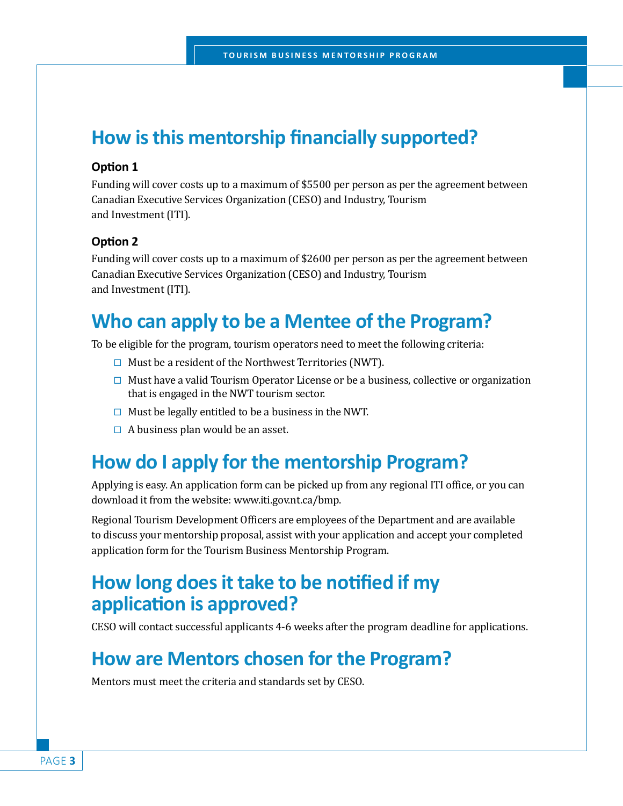# **How is this mentorship financially supported?**

#### **Option 1**

Funding will cover costs up to a maximum of \$5500 per person as per the agreement between Canadian Executive Services Organization (CESO) and Industry, Tourism and Investment (ITI).

#### **Option 2**

Funding will cover costs up to a maximum of \$2600 per person as per the agreement between Canadian Executive Services Organization (CESO) and Industry, Tourism and Investment (ITI).

# **Who can apply to be a Mentee of the Program?**

To be eligible for the program, tourism operators need to meet the following criteria:

- $\Box$  Must be a resident of the Northwest Territories (NWT).
- $\Box$  Must have a valid Tourism Operator License or be a business, collective or organization that is engaged in the NWT tourism sector.
- $\Box$  Must be legally entitled to be a business in the NWT.
- $\Box$  A business plan would be an asset.

# **How do I apply for the mentorship Program?**

Applying is easy. An application form can be picked up from any regional ITI office, or you can download it from the website: www.iti.gov.nt.ca/bmp.

Regional Tourism Development Officers are employees of the Department and are available to discuss your mentorship proposal, assist with your application and accept your completed application form for the Tourism Business Mentorship Program.

#### **How long does it take to be notified if my application is approved?**

CESO will contact successful applicants 4-6 weeks after the program deadline for applications.

#### **How are Mentors chosen for the Program?**

Mentors must meet the criteria and standards set by CESO.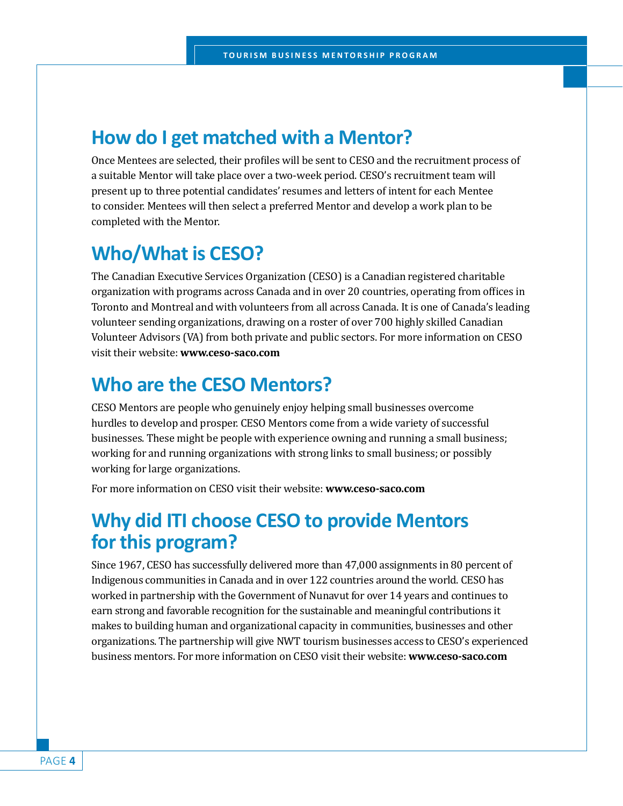#### **How do I get matched with a Mentor?**

Once Mentees are selected, their profiles will be sent to CESO and the recruitment process of a suitable Mentor will take place over a two-week period. CESO's recruitment team will present up to three potential candidates' resumes and letters of intent for each Mentee to consider. Mentees will then select a preferred Mentor and develop a work plan to be completed with the Mentor.

# **Who/What is CESO?**

The Canadian Executive Services Organization (CESO) is a Canadian registered charitable organization with programs across Canada and in over 20 countries, operating from offices in Toronto and Montreal and with volunteers from all across Canada. It is one of Canada's leading volunteer sending organizations, drawing on a roster of over 700 highly skilled Canadian Volunteer Advisors (VA) from both private and public sectors. For more information on CESO visit their website: **www.ceso-saco.com**

### **Who are the CESO Mentors?**

CESO Mentors are people who genuinely enjoy helping small businesses overcome hurdles to develop and prosper. CESO Mentors come from a wide variety of successful businesses. These might be people with experience owning and running a small business; working for and running organizations with strong links to small business; or possibly working for large organizations.

For more information on CESO visit their website: **www.ceso-saco.com**

# **Why did ITI choose CESO to provide Mentors for this program?**

Since 1967, CESO has successfully delivered more than 47,000 assignments in 80 percent of Indigenous communities in Canada and in over 122 countries around the world. CESO has worked in partnership with the Government of Nunavut for over 14 years and continues to earn strong and favorable recognition for the sustainable and meaningful contributions it makes to building human and organizational capacity in communities, businesses and other organizations. The partnership will give NWT tourism businesses access to CESO's experienced business mentors. For more information on CESO visit their website: **www.ceso-saco.com**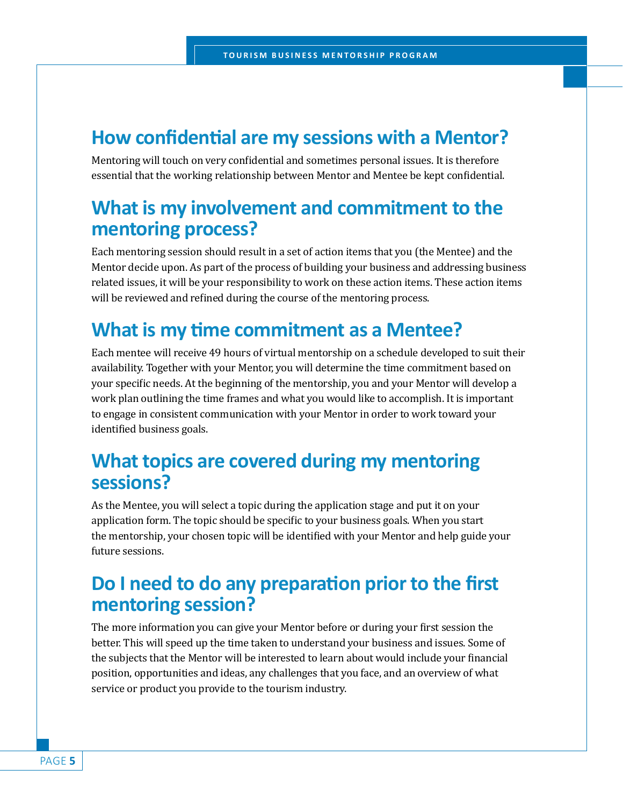#### **How confidential are my sessions with a Mentor?**

Mentoring will touch on very confidential and sometimes personal issues. It is therefore essential that the working relationship between Mentor and Mentee be kept confidential.

# **What is my involvement and commitment to the mentoring process?**

Each mentoring session should result in a set of action items that you (the Mentee) and the Mentor decide upon. As part of the process of building your business and addressing business related issues, it will be your responsibility to work on these action items. These action items will be reviewed and refined during the course of the mentoring process.

# **What is my time commitment as a Mentee?**

Each mentee will receive 49 hours of virtual mentorship on a schedule developed to suit their availability. Together with your Mentor, you will determine the time commitment based on your specific needs. At the beginning of the mentorship, you and your Mentor will develop a work plan outlining the time frames and what you would like to accomplish. It is important to engage in consistent communication with your Mentor in order to work toward your identified business goals.

# **What topics are covered during my mentoring sessions?**

As the Mentee, you will select a topic during the application stage and put it on your application form. The topic should be specific to your business goals. When you start the mentorship, your chosen topic will be identified with your Mentor and help guide your future sessions.

# **Do I need to do any preparation prior to the first mentoring session?**

The more information you can give your Mentor before or during your first session the better. This will speed up the time taken to understand your business and issues. Some of the subjects that the Mentor will be interested to learn about would include your financial position, opportunities and ideas, any challenges that you face, and an overview of what service or product you provide to the tourism industry.